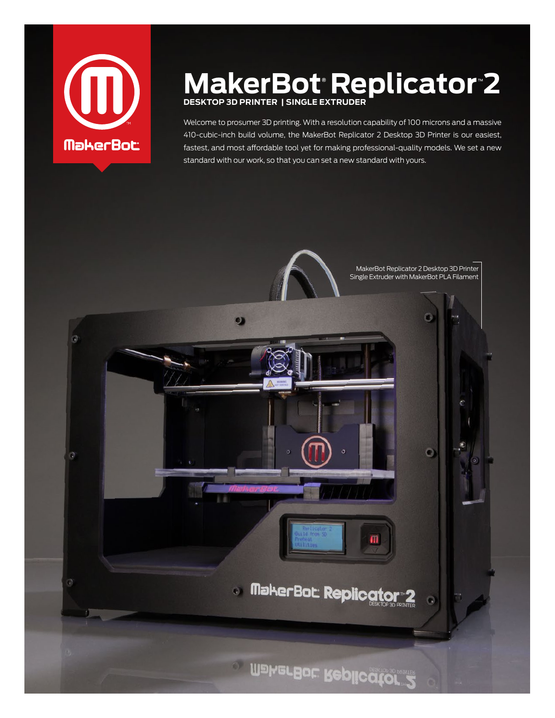

# **MakerBot® Replicator**™ **2 Desktop 3D Printer | Single Extruder**

Welcome to prosumer 3D printing. With a resolution capability of 100 microns and a massive 410-cubic-inch build volume, the MakerBot Replicator 2 Desktop 3D Printer is our easiest, fastest, and most affordable tool yet for making professional-quality models. We set a new standard with our work, so that you can set a new standard with yours.